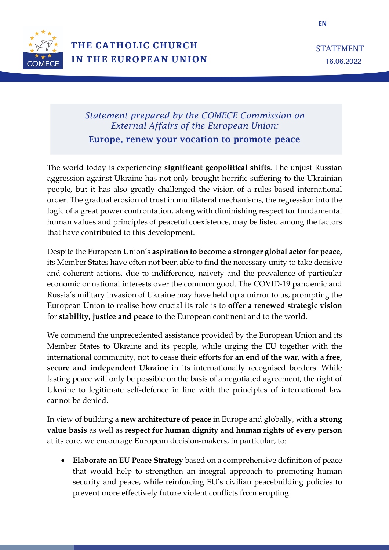

**EN**

# *Statement prepared by the COMECE Commission on External Affairs of the European Union:*

Europe, renew your vocation to promote peace

The world today is experiencing **significant geopolitical shifts**. The unjust Russian aggression against Ukraine has not only brought horrific suffering to the Ukrainian people, but it has also greatly challenged the vision of a rules-based international order. The gradual erosion of trust in multilateral mechanisms, the regression into the logic of a great power confrontation, along with diminishing respect for fundamental human values and principles of peaceful coexistence, may be listed among the factors that have contributed to this development.

Despite the European Union's **aspiration to become a stronger global actor for peace,**  its Member States have often not been able to find the necessary unity to take decisive and coherent actions, due to indifference, naivety and the prevalence of particular economic or national interests over the common good. The COVID-19 pandemic and Russia's military invasion of Ukraine may have held up a mirror to us, prompting the European Union to realise how crucial its role is to **offer a renewed strategic vision** for **stability, justice and peace** to the European continent and to the world.

We commend the unprecedented assistance provided by the European Union and its Member States to Ukraine and its people, while urging the EU together with the international community, not to cease their efforts for **an end of the war, with a free, secure and independent Ukraine** in its internationally recognised borders. While lasting peace will only be possible on the basis of a negotiated agreement, the right of Ukraine to legitimate self-defence in line with the principles of international law cannot be denied.

In view of building a **new architecture of peace** in Europe and globally, with a **strong value basis** as well as **respect for human dignity and human rights of every person**  at its core, we encourage European decision-makers, in particular, to:

• **Elaborate an EU Peace Strategy** based on a comprehensive definition of peace that would help to strengthen an integral approach to promoting human security and peace, while reinforcing EU's civilian peacebuilding policies to prevent more effectively future violent conflicts from erupting.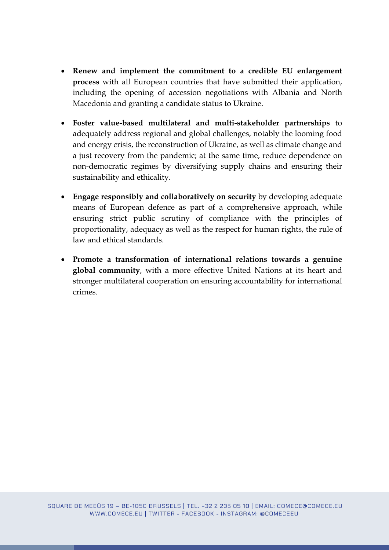- **Renew and implement the commitment to a credible EU enlargement process** with all European countries that have submitted their application, including the opening of accession negotiations with Albania and North Macedonia and granting a candidate status to Ukraine.
- **Foster value-based multilateral and multi-stakeholder partnerships** to adequately address regional and global challenges, notably the looming food and energy crisis, the reconstruction of Ukraine, as well as climate change and a just recovery from the pandemic; at the same time, reduce dependence on non-democratic regimes by diversifying supply chains and ensuring their sustainability and ethicality.
- **Engage responsibly and collaboratively on security** by developing adequate means of European defence as part of a comprehensive approach, while ensuring strict public scrutiny of compliance with the principles of proportionality, adequacy as well as the respect for human rights, the rule of law and ethical standards.
- **Promote a transformation of international relations towards a genuine global community**, with a more effective United Nations at its heart and stronger multilateral cooperation on ensuring accountability for international crimes.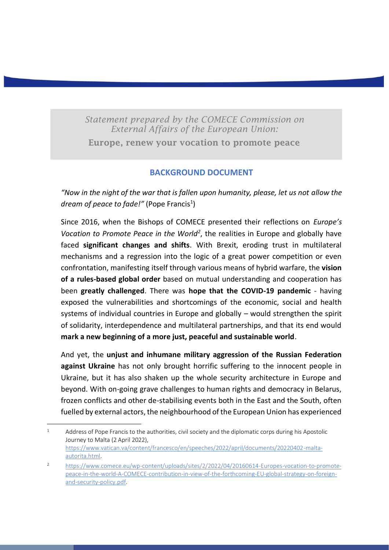*Statement prepared by the COMECE Commission on External Affairs of the European Union:* Europe, renew your vocation to promote peace

### **BACKGROUND DOCUMENT**

*"Now in the night of the war that is fallen upon humanity, please, let us not allow the*  dream of peace to fade!" (Pope Francis<sup>1</sup>)

Since 2016, when the Bishops of COMECE presented their reflections on *Europe's*  Vocation to Promote Peace in the World<sup>2</sup>, the realities in Europe and globally have faced **significant changes and shifts**. With Brexit, eroding trust in multilateral mechanisms and a regression into the logic of a great power competition or even confrontation, manifesting itself through various means of hybrid warfare, the **vision of a rules-based global order** based on mutual understanding and cooperation has been **greatly challenged**. There was **hope that the COVID-19 pandemic** - having exposed the vulnerabilities and shortcomings of the economic, social and health systems of individual countries in Europe and globally – would strengthen the spirit of solidarity, interdependence and multilateral partnerships, and that its end would **mark a new beginning of a more just, peaceful and sustainable world**.

And yet, the **unjust and inhumane military aggression of the Russian Federation against Ukraine** has not only brought horrific suffering to the innocent people in Ukraine, but it has also shaken up the whole security architecture in Europe and beyond. With on-going grave challenges to human rights and democracy in Belarus, frozen conflicts and other de-stabilising events both in the East and the South, often fuelled by external actors, the neighbourhood of the European Union has experienced

 $1 - 1$  Address of Pope Francis to the authorities, civil society and the diplomatic corps during his Apostolic Journey to Malta (2 April 2022), [https://www.vatican.va/content/francesco/en/speeches/2022/april/documents/20220402-malta](https://www.vatican.va/content/francesco/en/speeches/2022/april/documents/20220402-malta-autorita.html)[autorita.html.](https://www.vatican.va/content/francesco/en/speeches/2022/april/documents/20220402-malta-autorita.html)

<sup>2</sup> [https://www.comece.eu/wp-content/uploads/sites/2/2022/04/20160614-Europes-vocation-to-promote](https://www.comece.eu/wp-content/uploads/sites/2/2022/04/20160614-Europes-vocation-to-promote-peace-in-the-world-A-COMECE-contribution-in-view-of-the-forthcoming-EU-global-strategy-on-foreign-and-security-policy.pdf)[peace-in-the-world-A-COMECE-contribution-in-view-of-the-forthcoming-EU-global-strategy-on-foreign](https://www.comece.eu/wp-content/uploads/sites/2/2022/04/20160614-Europes-vocation-to-promote-peace-in-the-world-A-COMECE-contribution-in-view-of-the-forthcoming-EU-global-strategy-on-foreign-and-security-policy.pdf)[and-security-policy.pdf.](https://www.comece.eu/wp-content/uploads/sites/2/2022/04/20160614-Europes-vocation-to-promote-peace-in-the-world-A-COMECE-contribution-in-view-of-the-forthcoming-EU-global-strategy-on-foreign-and-security-policy.pdf)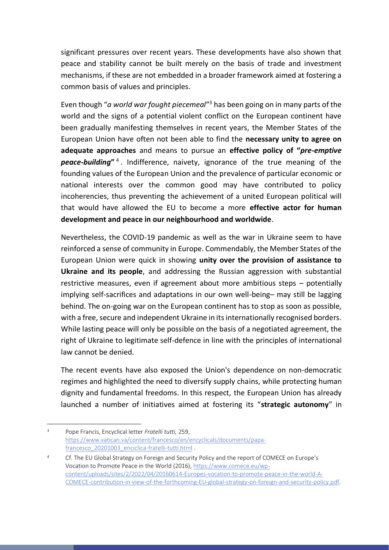significant pressures over recent years. These developments have also shown that peace and stability cannot be built merely on the basis of trade and investment mechanisms, if these are not embedded in a broader framework aimed at fostering a common basis of values and principles.

Even though "*a world war fought piecemeal*"<sup>3</sup> has been going on in many parts of the world and the signs of a potential violent conflict on the European continent have been gradually manifesting themselves in recent years, the Member States of the European Union have often not been able to find the **necessary unity to agree on adequate approaches** and means to pursue an **effective policy of "***pre-emptive peace-building***"** <sup>4</sup> . Indifference, naivety, ignorance of the true meaning of the founding values of the European Union and the prevalence of particular economic or national interests over the common good may have contributed to policy incoherencies, thus preventing the achievement of a united European political will that would have allowed the EU to become a more **effective actor for human development and peace in our neighbourhood and worldwide**.

Nevertheless, the COVID-19 pandemic as well as the war in Ukraine seem to have reinforced a sense of community in Europe. Commendably, the Member States of the European Union were quick in showing **unity over the provision of assistance to Ukraine and its people**, and addressing the Russian aggression with substantial restrictive measures, even if agreement about more ambitious steps – potentially implying self-sacrifices and adaptations in our own well-being– may still be lagging behind. The on-going war on the European continent has to stop as soon as possible, with a free, secure and independent Ukraine in its internationally recognised borders. While lasting peace will only be possible on the basis of a negotiated agreement, the right of Ukraine to legitimate self-defence in line with the principles of international law cannot be denied.

The recent events have also exposed the Union's dependence on non-democratic regimes and highlighted the need to diversify supply chains, while protecting human dignity and fundamental freedoms. In this respect, the European Union has already launched a number of initiatives aimed at fostering its "**strategic autonomy**" in

<sup>3</sup> Pope Francis, Encyclical letter *Fratelli tutti,* 259, [https://www.vatican.va/content/francesco/en/encyclicals/documents/papa](https://www.vatican.va/content/francesco/en/encyclicals/documents/papa-francesco_20201003_enciclica-fratelli-tutti.html)[francesco\\_20201003\\_enciclica-fratelli-tutti.html](https://www.vatican.va/content/francesco/en/encyclicals/documents/papa-francesco_20201003_enciclica-fratelli-tutti.html) .

<sup>4</sup> Cf. The EU Global Strategy on Foreign and Security Policy and the report of COMECE on Europe's Vocation to Promote Peace in the World (2016), [https://www.comece.eu/wp](https://www.comece.eu/wp-content/uploads/sites/2/2022/04/20160614-Europes-vocation-to-promote-peace-in-the-world-A-COMECE-contribution-in-view-of-the-forthcoming-EU-global-strategy-on-foreign-and-security-policy.pdf)[content/uploads/sites/2/2022/04/20160614-Europes-vocation-to-promote-peace-in-the-world-A-](https://www.comece.eu/wp-content/uploads/sites/2/2022/04/20160614-Europes-vocation-to-promote-peace-in-the-world-A-COMECE-contribution-in-view-of-the-forthcoming-EU-global-strategy-on-foreign-and-security-policy.pdf)[COMECE-contribution-in-view-of-the-forthcoming-EU-global-strategy-on-foreign-and-security-policy.pdf.](https://www.comece.eu/wp-content/uploads/sites/2/2022/04/20160614-Europes-vocation-to-promote-peace-in-the-world-A-COMECE-contribution-in-view-of-the-forthcoming-EU-global-strategy-on-foreign-and-security-policy.pdf)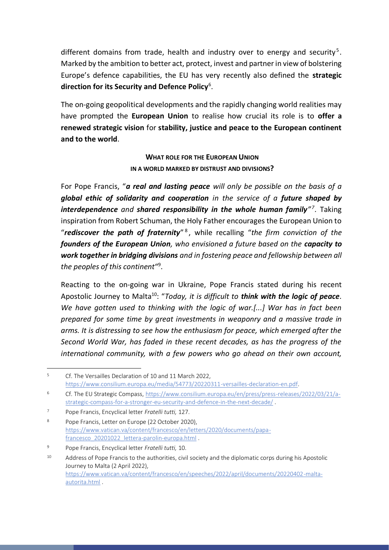different domains from trade, health and industry over to energy and security<sup>5</sup>. Marked by the ambition to better act, protect, invest and partner in view of bolstering Europe's defence capabilities, the EU has very recently also defined the **strategic direction for its Security and Defence Policy**<sup>6</sup> .

The on-going geopolitical developments and the rapidly changing world realities may have prompted the **European Union** to realise how crucial its role is to **offer a renewed strategic vision** for **stability, justice and peace to the European continent and to the world**.

### **WHAT ROLE FOR THE EUROPEAN UNION IN A WORLD MARKED BY DISTRUST AND DIVISIONS?**

For Pope Francis, "*a real and lasting peace will only be possible on the basis of a global ethic of solidarity and cooperation in the service of a future shaped by interdependence and shared responsibility in the whole human family<sup><i>n*7</sup>. Taking inspiration from Robert Schuman, the Holy Father encourages the European Union to "*rediscover the path of fraternity*" <sup>8</sup> , while recalling "*the firm conviction of the founders of the European Union, who envisioned a future based on the capacity to work together in bridging divisions and in fostering peace and fellowship between all the peoples of this continent*"<sup>9</sup> .

Reacting to the on-going war in Ukraine, Pope Francis stated during his recent Apostolic Journey to Malta<sup>10</sup>: "*Today, it is difficult to think with the logic of peace. We have gotten used to thinking with the logic of war.[...] War has in fact been prepared for some time by great investments in weaponry and a massive trade in arms. It is distressing to see how the enthusiasm for peace, which emerged after the Second World War, has faded in these recent decades, as has the progress of the international community, with a few powers who go ahead on their own account,* 

<sup>5</sup> Cf. The Versailles Declaration of 10 and 11 March 2022, [https://www.consilium.europa.eu/media/54773/20220311-versailles-declaration-en.pdf.](https://www.consilium.europa.eu/media/54773/20220311-versailles-declaration-en.pdf)

<sup>6</sup> Cf. The EU Strategic Compass[, https://www.consilium.europa.eu/en/press/press-releases/2022/03/21/a](https://www.consilium.europa.eu/en/press/press-releases/2022/03/21/a-strategic-compass-for-a-stronger-eu-security-and-defence-in-the-next-decade/)[strategic-compass-for-a-stronger-eu-security-and-defence-in-the-next-decade/](https://www.consilium.europa.eu/en/press/press-releases/2022/03/21/a-strategic-compass-for-a-stronger-eu-security-and-defence-in-the-next-decade/) .

<sup>7</sup> Pope Francis, Encyclical letter *Fratelli tutti,* 127.

<sup>8</sup> Pope Francis, Letter on Europe (22 October 2020), [https://www.vatican.va/content/francesco/en/letters/2020/documents/papa](https://www.vatican.va/content/francesco/en/letters/2020/documents/papa-francesco_20201022_lettera-parolin-europa.html)[francesco\\_20201022\\_lettera-parolin-europa.html](https://www.vatican.va/content/francesco/en/letters/2020/documents/papa-francesco_20201022_lettera-parolin-europa.html) .

<sup>9</sup> Pope Francis, Encyclical letter *Fratelli tutti,* 10.

<sup>&</sup>lt;sup>10</sup> Address of Pope Francis to the authorities, civil society and the diplomatic corps during his Apostolic Journey to Malta (2 April 2022), [https://www.vatican.va/content/francesco/en/speeches/2022/april/documents/20220402-malta](https://www.vatican.va/content/francesco/en/speeches/2022/april/documents/20220402-malta-autorita.html)[autorita.html](https://www.vatican.va/content/francesco/en/speeches/2022/april/documents/20220402-malta-autorita.html) .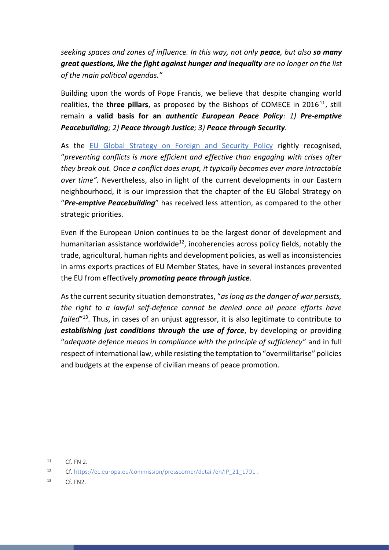*seeking spaces and zones of influence. In this way, not only peace, but also so many great questions, like the fight against hunger and inequality are no longer on the list of the main political agendas."*

Building upon the words of Pope Francis, we believe that despite changing world realities, the **three pillars**, as proposed by the Bishops of COMECE in 2016<sup>11</sup>, still remain a **valid basis for an** *authentic European Peace Policy: 1) Pre-emptive Peacebuilding; 2) Peace through Justice; 3) Peace through Security.*

As the [EU Global Strategy on Foreign and Security Policy](https://eeas.europa.eu/archives/docs/top_stories/pdf/eugs_review_web.pdf) rightly recognised, "*preventing conflicts is more efficient and effective than engaging with crises after they break out. Once a conflict does erupt, it typically becomes ever more intractable over time".* Nevertheless, also in light of the current developments in our Eastern neighbourhood, it is our impression that the chapter of the EU Global Strategy on "*Pre-emptive Peacebuilding*" has received less attention, as compared to the other strategic priorities.

Even if the European Union continues to be the largest donor of development and humanitarian assistance worldwide<sup>12</sup>, incoherencies across policy fields, notably the trade, agricultural, human rights and development policies, as well as inconsistencies in arms exports practices of EU Member States, have in several instances prevented the EU from effectively *promoting peace through justice.*

As the current security situation demonstrates, "*as long as the danger of war persists, the right to a lawful self-defence cannot be denied once all peace efforts have failed*"13. Thus, in cases of an unjust aggressor, it is also legitimate to contribute to *establishing just conditions through the use of force*, by developing or providing "*adequate defence means in compliance with the principle of sufficiency*" and in full respect of international law, while resisting the temptation to "overmilitarise" policies and budgets at the expense of civilian means of peace promotion.

 $11$  Cf. FN 2.

<sup>12</sup> Cf. [https://ec.europa.eu/commission/presscorner/detail/en/IP\\_21\\_1701](https://ec.europa.eu/commission/presscorner/detail/en/IP_21_1701) .

<sup>13</sup> Cf. FN2.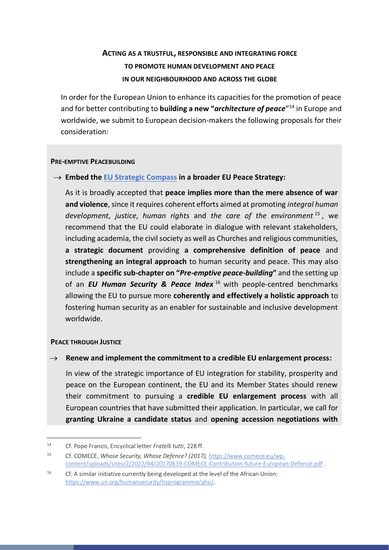## **ACTING AS A TRUSTFUL, RESPONSIBLE AND INTEGRATING FORCE TO PROMOTE HUMAN DEVELOPMENT AND PEACE IN OUR NEIGHBOURHOOD AND ACROSS THE GLOBE**

In order for the European Union to enhance its capacities for the promotion of peace and for better contributing to **building a new "***architecture of peace*"<sup>14</sup> in Europe and worldwide, we submit to European decision-makers the following proposals for their consideration:

#### **PRE-EMPTIVE PEACEBUILDING**

### → **Embed the [EU Strategic Compass](https://www.eeas.europa.eu/eeas/strategic-compass-security-and-defence-1_en) in a broader EU Peace Strategy:**

As it is broadly accepted that **peace implies more than the mere absence of war and violence**, since it requires coherent efforts aimed at promoting *integral human development*, *justice*, *human rights* and *the care of the environment* <sup>15</sup> , we recommend that the EU could elaborate in dialogue with relevant stakeholders, including academia, the civil society as well as Churches and religious communities, **a strategic document** providing **a comprehensive definition of peace** and **strengthening an integral approach** to human security and peace. This may also include a **specific sub-chapter on "***Pre-emptive peace-building***"** and the setting up of an *EU Human Security & Peace Index* <sup>16</sup> with people-centred benchmarks allowing the EU to pursue more **coherently and effectively a holistic approach** to fostering human security as an enabler for sustainable and inclusive development worldwide.

#### **PEACE THROUGH JUSTICE**

#### → **Renew and implement the commitment to a credible EU enlargement process:**

In view of the strategic importance of EU integration for stability, prosperity and peace on the European continent, the EU and its Member States should renew their commitment to pursuing a **credible EU enlargement process** with all European countries that have submitted their application. In particular, we call for **granting Ukraine a candidate status** and **opening accession negotiations with** 

<sup>14</sup> Cf. Pope Francis, Encyclical letter *Fratelli tutti*, 228 ff.

<sup>15</sup> Cf. COMECE, *Whose Security, Whose Defence? (2017),* [https://www.comece.eu/wp](https://www.comece.eu/wp-content/uploads/sites/2/2022/04/20170619-COMECE-Contribution-future-European-Defence.pdf)[content/uploads/sites/2/2022/04/20170619-COMECE-Contribution-future-European-Defence.pdf](https://www.comece.eu/wp-content/uploads/sites/2/2022/04/20170619-COMECE-Contribution-future-European-Defence.pdf) .

<sup>&</sup>lt;sup>16</sup> Cf. A similar initiative currently being developed at the level of the African Union: [https://www.un.org/humansecurity/hsprogramme/ahsi/.](https://www.un.org/humansecurity/hsprogramme/ahsi/)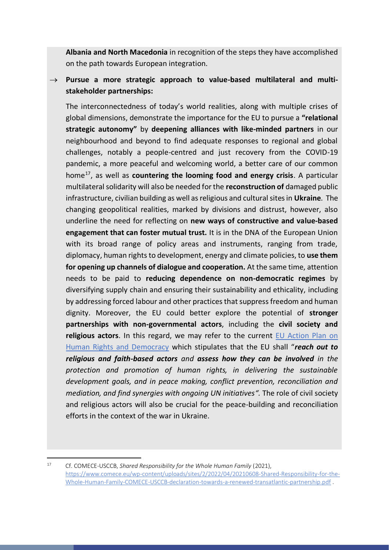**Albania and North Macedonia** in recognition of the steps they have accomplished on the path towards European integration.

→ Pursue a more strategic approach to value-based multilateral and multi**stakeholder partnerships:**

The interconnectedness of today's world realities, along with multiple crises of global dimensions, demonstrate the importance for the EU to pursue a **"relational strategic autonomy"** by **deepening alliances with like-minded partners** in our neighbourhood and beyond to find adequate responses to regional and global challenges, notably a people-centred and just recovery from the COVID-19 pandemic, a more peaceful and welcoming world, a better care of our common home17, as well as **countering the looming food and energy crisis**. A particular multilateral solidarity will also be needed for the **reconstruction of** damaged public infrastructure, civilian building as well as religious and cultural sites in **Ukraine**. The changing geopolitical realities, marked by divisions and distrust, however, also underline the need for reflecting on **new ways of constructive and value-based engagement that can foster mutual trust.** It is in the DNA of the European Union with its broad range of policy areas and instruments, ranging from trade, diplomacy, human rights to development, energy and climate policies, to **use them for opening up channels of dialogue and cooperation.** At the same time, attention needs to be paid to **reducing dependence on non-democratic regimes** by diversifying supply chain and ensuring their sustainability and ethicality, including by addressing forced labour and other practices that suppress freedom and human dignity. Moreover, the EU could better explore the potential of **stronger partnerships with non-governmental actors**, including the **civil society and religious actors**. In this regard, we may refer to the current [EU Action Plan on](https://www.eeas.europa.eu/sites/default/files/eu_action_plan_on_human_rights_and_democracy_2020-2024.pdf)  [Human Rights and Democracy](https://www.eeas.europa.eu/sites/default/files/eu_action_plan_on_human_rights_and_democracy_2020-2024.pdf) which stipulates that the EU shall "*reach out to religious and faith-based actors and assess how they can be involved in the protection and promotion of human rights, in delivering the sustainable development goals, and in peace making, conflict prevention, reconciliation and mediation, and find synergies with ongoing UN initiatives".* The role of civil society and religious actors will also be crucial for the peace-building and reconciliation efforts in the context of the war in Ukraine.

<sup>17</sup> Cf. COMECE-USCCB, *Shared Responsibility for the Whole Human Family* (2021), [https://www.comece.eu/wp-content/uploads/sites/2/2022/04/20210608-Shared-Responsibility-for-the-](https://www.comece.eu/wp-content/uploads/sites/2/2022/04/20210608-Shared-Responsibility-for-the-Whole-Human-Family-COMECE-USCCB-declaration-towards-a-renewed-transatlantic-partnership.pdf)[Whole-Human-Family-COMECE-USCCB-declaration-towards-a-renewed-transatlantic-partnership.pdf](https://www.comece.eu/wp-content/uploads/sites/2/2022/04/20210608-Shared-Responsibility-for-the-Whole-Human-Family-COMECE-USCCB-declaration-towards-a-renewed-transatlantic-partnership.pdf) .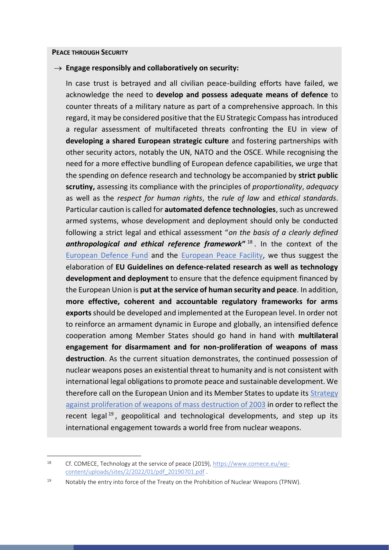#### **PEACE THROUGH SECURITY**

#### → **Engage responsibly and collaboratively on security:**

In case trust is betrayed and all civilian peace-building efforts have failed, we acknowledge the need to **develop and possess adequate means of defence** to counter threats of a military nature as part of a comprehensive approach. In this regard, it may be considered positive that the EU Strategic Compass has introduced a regular assessment of multifaceted threats confronting the EU in view of **developing a shared European strategic culture** and fostering partnerships with other security actors, notably the UN, NATO and the OSCE. While recognising the need for a more effective bundling of European defence capabilities, we urge that the spending on defence research and technology be accompanied by **strict public scrutiny,** assessing its compliance with the principles of *proportionality*, *adequacy* as well as the *respect for human rights*, the *rule of law* and *ethical standards*. Particular caution is called for **automated defence technologies**, such as uncrewed armed systems, whose development and deployment should only be conducted following a strict legal and ethical assessment "*on the basis of a clearly defined*  **anthropological and ethical reference framework<sup>" 18</sup>. In the context of the** [European Defence Fund](https://ec.europa.eu/defence-industry-space/eu-defence-industry/european-defence-fund-edf_sk) and the [European Peace Facility,](https://www.consilium.europa.eu/en/policies/european-peace-facility/) we thus suggest the elaboration of **EU Guidelines on defence-related research as well as technology development and deployment** to ensure that the defence equipment financed by the European Union is **put at the service of human security and peace**. In addition, **more effective, coherent and accountable regulatory frameworks for arms exports** should be developed and implemented at the European level. In order not to reinforce an armament dynamic in Europe and globally, an intensified defence cooperation among Member States should go hand in hand with **multilateral engagement for disarmament and for non-proliferation of weapons of mass destruction**. As the current situation demonstrates, the continued possession of nuclear weapons poses an existential threat to humanity and is not consistent with international legal obligations to promote peace and sustainable development. We therefore call on the European Union and its Member States to update its [Strategy](https://data.consilium.europa.eu/doc/document/ST-15708-2003-INIT/en/pdf)  [against proliferation of weapons of mass destruction of 2003](https://data.consilium.europa.eu/doc/document/ST-15708-2003-INIT/en/pdf) in order to reflect the recent legal  $19$ , geopolitical and technological developments, and step up its international engagement towards a world free from nuclear weapons.

<sup>18</sup> Cf. COMECE, Technology at the service of peace (2019), [https://www.comece.eu/wp](https://www.comece.eu/wp-content/uploads/sites/2/2022/01/pdf_20190701.pdf)[content/uploads/sites/2/2022/01/pdf\\_20190701.pdf](https://www.comece.eu/wp-content/uploads/sites/2/2022/01/pdf_20190701.pdf) .

<sup>19</sup> Notably the entry into force of the Treaty on the Prohibition of Nuclear Weapons (TPNW).